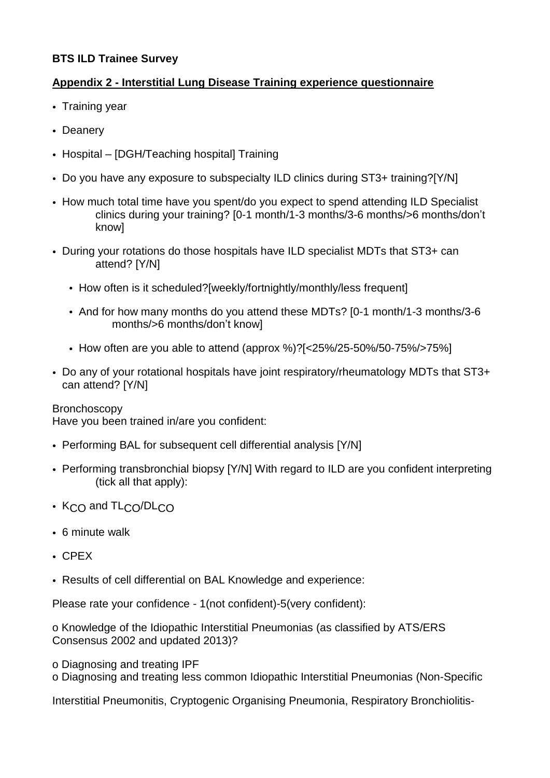## **BTS ILD Trainee Survey**

## **Appendix 2 - Interstitial Lung Disease Training experience questionnaire**

- Training year
- Deanery
- Hospital [DGH/Teaching hospital] Training
- Do you have any exposure to subspecialty ILD clinics during ST3+ training?[Y/N]
- How much total time have you spent/do you expect to spend attending ILD Specialist clinics during your training? [0-1 month/1-3 months/3-6 months/>6 months/don't know]
- During your rotations do those hospitals have ILD specialist MDTs that ST3+ can attend? [Y/N]
	- How often is it scheduled?[weekly/fortnightly/monthly/less frequent]
	- And for how many months do you attend these MDTs? [0-1 month/1-3 months/3-6 months/>6 months/don't know]
	- How often are you able to attend (approx %)?[<25%/25-50%/50-75%/>75%]
- Do any of your rotational hospitals have joint respiratory/rheumatology MDTs that ST3+ can attend? [Y/N]

## **Bronchoscopy**

Have you been trained in/are you confident:

- Performing BAL for subsequent cell differential analysis [Y/N]
- Performing transbronchial biopsy [Y/N] With regard to ILD are you confident interpreting (tick all that apply):
- K<sub>CO</sub> and TL<sub>CO</sub>/DL<sub>CO</sub>
- 6 minute walk
- CPEX
- Results of cell differential on BAL Knowledge and experience:

Please rate your confidence - 1(not confident)-5(very confident):

o Knowledge of the Idiopathic Interstitial Pneumonias (as classified by ATS/ERS Consensus 2002 and updated 2013)?

- o Diagnosing and treating IPF
- o Diagnosing and treating less common Idiopathic Interstitial Pneumonias (Non-Specific

Interstitial Pneumonitis, Cryptogenic Organising Pneumonia, Respiratory Bronchiolitis-